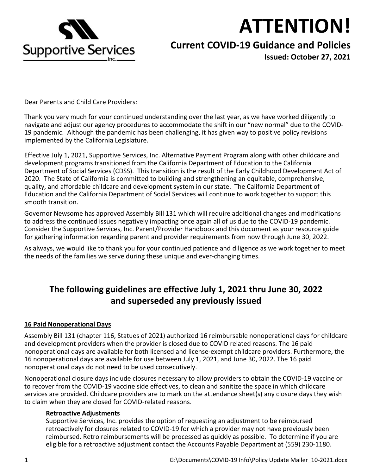

# **ATTENTION!**

## **Current COVID-19 Guidance and Policies**

**Issued: October 27, 2021**

Dear Parents and Child Care Providers:

Thank you very much for your continued understanding over the last year, as we have worked diligently to navigate and adjust our agency procedures to accommodate the shift in our "new normal" due to the COVID-19 pandemic. Although the pandemic has been challenging, it has given way to positive policy revisions implemented by the California Legislature.

Effective July 1, 2021, Supportive Services, Inc. Alternative Payment Program along with other childcare and development programs transitioned from the California Department of Education to the California Department of Social Services (CDSS). This transition is the result of the Early Childhood Development Act of 2020. The State of California is committed to building and strengthening an equitable, comprehensive, quality, and affordable childcare and development system in our state. The California Department of Education and the California Department of Social Services will continue to work together to support this smooth transition.

Governor Newsome has approved Assembly Bill 131 which will require additional changes and modifications to address the continued issues negatively impacting once again all of us due to the COVID-19 pandemic. Consider the Supportive Services, Inc. Parent/Provider Handbook and this document as your resource guide for gathering information regarding parent and provider requirements from now through June 30, 2022.

As always, we would like to thank you for your continued patience and diligence as we work together to meet the needs of the families we serve during these unique and ever-changing times.

## **The following guidelines are effective July 1, 2021 thru June 30, 2022 and superseded any previously issued**

#### **16 Paid Nonoperational Days**

Assembly Bill 131 (chapter 116, Statues of 2021) authorized 16 reimbursable nonoperational days for childcare and development providers when the provider is closed due to COVID related reasons. The 16 paid nonoperational days are available for both licensed and license-exempt childcare providers. Furthermore, the 16 nonoperational days are available for use between July 1, 2021, and June 30, 2022. The 16 paid nonoperational days do not need to be used consecutively.

Nonoperational closure days include closures necessary to allow providers to obtain the COVID-19 vaccine or to recover from the COVID-19 vaccine side effectives, to clean and sanitize the space in which childcare services are provided. Childcare providers are to mark on the attendance sheet(s) any closure days they wish to claim when they are closed for COVID-related reasons.

#### **Retroactive Adjustments**

Supportive Services, Inc. provides the option of requesting an adjustment to be reimbursed retroactively for closures related to COVID-19 for which a provider may not have previously been reimbursed. Retro reimbursements will be processed as quickly as possible. To determine if you are eligible for a retroactive adjustment contact the Accounts Payable Department at (559) 230-1180.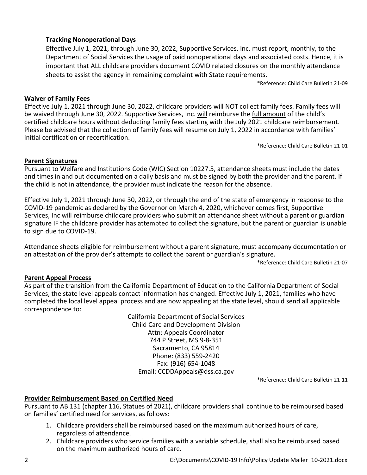#### **Tracking Nonoperational Days**

Effective July 1, 2021, through June 30, 2022, Supportive Services, Inc. must report, monthly, to the Department of Social Services the usage of paid nonoperational days and associated costs. Hence, it is important that ALL childcare providers document COVID related closures on the monthly attendance sheets to assist the agency in remaining complaint with State requirements.

\*Reference: Child Care Bulletin 21-09

#### **Waiver of Family Fees**

Effective July 1, 2021 through June 30, 2022, childcare providers will NOT collect family fees. Family fees will be waived through June 30, 2022. Supportive Services, Inc. will reimburse the full amount of the child's certified childcare hours without deducting family fees starting with the July 2021 childcare reimbursement. Please be advised that the collection of family fees will resume on July 1, 2022 in accordance with families' initial certification or recertification.

\*Reference: Child Care Bulletin 21-01

#### **Parent Signatures**

Pursuant to Welfare and Institutions Code (WIC) Section 10227.5, attendance sheets must include the dates and times in and out documented on a daily basis and must be signed by both the provider and the parent. If the child is not in attendance, the provider must indicate the reason for the absence.

Effective July 1, 2021 through June 30, 2022, or through the end of the state of emergency in response to the COVID-19 pandemic as declared by the Governor on March 4, 2020, whichever comes first, Supportive Services, Inc will reimburse childcare providers who submit an attendance sheet without a parent or guardian signature IF the childcare provider has attempted to collect the signature, but the parent or guardian is unable to sign due to COVID-19.

Attendance sheets eligible for reimbursement without a parent signature, must accompany documentation or an attestation of the provider's attempts to collect the parent or guardian's signature.

\*Reference: Child Care Bulletin 21-07

#### **Parent Appeal Process**

As part of the transition from the California Department of Education to the California Department of Social Services, the state level appeals contact information has changed. Effective July 1, 2021, families who have completed the local level appeal process and are now appealing at the state level, should send all applicable correspondence to:

> California Department of Social Services Child Care and Development Division Attn: Appeals Coordinator 744 P Street, MS 9-8-351 Sacramento, CA 95814 Phone: (833) 559-2420 Fax: (916) 654-1048 Email: CCDDAppeals@dss.ca.gov

\*Reference: Child Care Bulletin 21-11

#### **Provider Reimbursement Based on Certified Need**

Pursuant to AB 131 (chapter 116, Statues of 2021), childcare providers shall continue to be reimbursed based on families' certified need for services, as follows:

- 1. Childcare providers shall be reimbursed based on the maximum authorized hours of care, regardless of attendance.
- 2. Childcare providers who service families with a variable schedule, shall also be reimbursed based on the maximum authorized hours of care.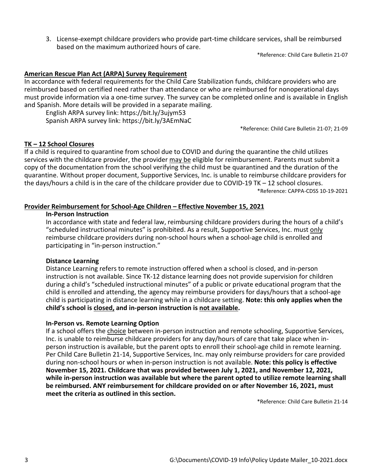3. License-exempt childcare providers who provide part-time childcare services, shall be reimbursed based on the maximum authorized hours of care.

\*Reference: Child Care Bulletin 21-07

#### **American Rescue Plan Act (ARPA) Survey Requirement**

In accordance with federal requirements for the Child Care Stabilization funds, childcare providers who are reimbursed based on certified need rather than attendance or who are reimbursed for nonoperational days must provide information via a one-time survey. The survey can be completed online and is available in English and Spanish. More details will be provided in a separate mailing.

English ARPA survey link: https://bit.ly/3ujym53 Spanish ARPA survey link: https://bit.ly/3AEmNaC

\*Reference: Child Care Bulletin 21-07; 21-09

#### **TK – 12 School Closures**

If a child is required to quarantine from school due to COVID and during the quarantine the child utilizes services with the childcare provider, the provider may be eligible for reimbursement. Parents must submit a copy of the documentation from the school verifying the child must be quarantined and the duration of the quarantine. Without proper document, Supportive Services, Inc. is unable to reimburse childcare providers for the days/hours a child is in the care of the childcare provider due to COVID-19 TK – 12 school closures. \*Reference: CAPPA-CDSS 10-19-2021

#### **Provider Reimbursement for School-Age Children – Effective November 15, 2021**

#### **In-Person Instruction**

In accordance with state and federal law, reimbursing childcare providers during the hours of a child's "scheduled instructional minutes" is prohibited. As a result, Supportive Services, Inc. must only reimburse childcare providers during non-school hours when a school-age child is enrolled and participating in "in-person instruction."

#### **Distance Learning**

Distance Learning refers to remote instruction offered when a school is closed, and in-person instruction is not available. Since TK-12 distance learning does not provide supervision for children during a child's "scheduled instructional minutes" of a public or private educational program that the child is enrolled and attending, the agency may reimburse providers for days/hours that a school-age child is participating in distance learning while in a childcare setting. **Note: this only applies when the child's school is closed, and in-person instruction is not available.**

#### **In-Person vs. Remote Learning Option**

If a school offers the choice between in-person instruction and remote schooling, Supportive Services, Inc. is unable to reimburse childcare providers for any day/hours of care that take place when inperson instruction is available, but the parent opts to enroll their school-age child in remote learning. Per Child Care Bulletin 21-14, Supportive Services, Inc. may only reimburse providers for care provided during non-school hours or when in-person instruction is not available. **Note: this policy is effective November 15, 2021. Childcare that was provided between July 1, 2021, and November 12, 2021, while in-person instruction was available but where the parent opted to utilize remote learning shall be reimbursed. ANY reimbursement for childcare provided on or after November 16, 2021, must meet the criteria as outlined in this section.**

\*Reference: Child Care Bulletin 21-14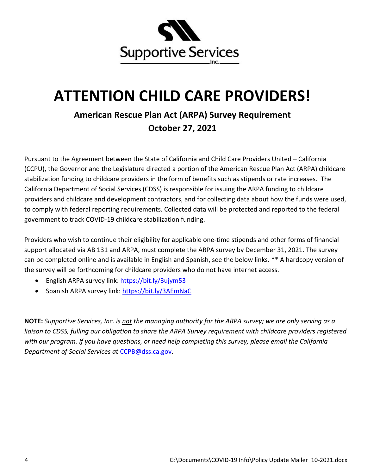

## **ATTENTION CHILD CARE PROVIDERS!**

## **American Rescue Plan Act (ARPA) Survey Requirement October 27, 2021**

Pursuant to the Agreement between the State of California and Child Care Providers United – California (CCPU), the Governor and the Legislature directed a portion of the American Rescue Plan Act (ARPA) childcare stabilization funding to childcare providers in the form of benefits such as stipends or rate increases. The California Department of Social Services (CDSS) is responsible for issuing the ARPA funding to childcare providers and childcare and development contractors, and for collecting data about how the funds were used, to comply with federal reporting requirements. Collected data will be protected and reported to the federal government to track COVID-19 childcare stabilization funding.

Providers who wish to continue their eligibility for applicable one-time stipends and other forms of financial support allocated via AB 131 and ARPA, must complete the ARPA survey by December 31, 2021. The survey can be completed online and is available in English and Spanish, see the below links. \*\* A hardcopy version of the survey will be forthcoming for childcare providers who do not have internet access.

- English ARPA survey link: https://bit.ly/3ujym53
- Spanish ARPA survey link: https://bit.ly/3AEmNaC

**NOTE:** *Supportive Services, Inc. is not the managing authority for the ARPA survey; we are only serving as a*  liaison to CDSS, fulling our obligation to share the ARPA Survey requirement with childcare providers registered *with our program. If you have questions, or need help completing this survey, please email the California Department of Social Services at* CCPB@dss.ca.gov.